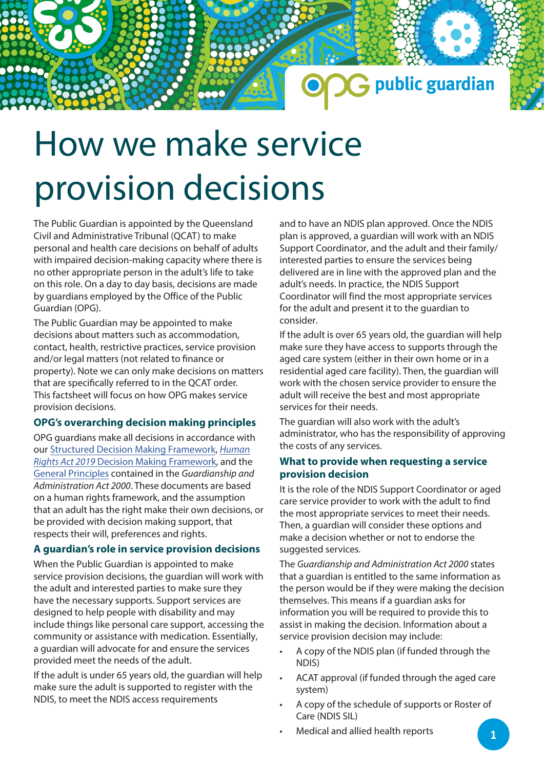# How we make service provision decisions

The Public Guardian is appointed by the Queensland Civil and Administrative Tribunal (QCAT) to make personal and health care decisions on behalf of adults with impaired decision-making capacity where there is no other appropriate person in the adult's life to take on this role. On a day to day basis, decisions are made by guardians employed by the Office of the Public Guardian (OPG).

The Public Guardian may be appointed to make decisions about matters such as accommodation, contact, health, restrictive practices, service provision and/or legal matters (not related to finance or property). Note we can only make decisions on matters that are specifically referred to in the QCAT order. This factsheet will focus on how OPG makes service provision decisions.

# **OPG's overarching decision making principles**

OPG guardians make all decisions in accordance with our Structured Decis[ion Making Framework,](https://www.publicguardian.qld.gov.au/__data/assets/pdf_file/0008/574721/Policy-Structured-Decision-Making-Framework.pdf) *Human Rights Act 2019* [Decision Making Framework, and the](https://www.publicguardian.qld.gov.au/__data/assets/pdf_file/0006/644973/human-rights-act-decision-making-framework.pdf)  [General Principles](https://www.publicguardian.qld.gov.au/__data/assets/pdf_file/0006/572352/OPG-Factsheet_General-Principles.pdf) contained in the *Guardianship and Administration Act 2000*. These documents are based on a human rights framework, and the assumption that an adult has the right make their own decisions, or be provided with decision making support, that respects their will, preferences and rights.

# **A guardian's role in service provision decisions**

When the Public Guardian is appointed to make service provision decisions, the guardian will work with the adult and interested parties to make sure they have the necessary supports. Support services are designed to help people with disability and may include things like personal care support, accessing the community or assistance with medication. Essentially, a guardian will advocate for and ensure the services provided meet the needs of the adult.

If the adult is under 65 years old, the guardian will help make sure the adult is supported to register with the NDIS, to meet the NDIS access requirements

and to have an NDIS plan approved. Once the NDIS plan is approved, a guardian will work with an NDIS Support Coordinator, and the adult and their family/ interested parties to ensure the services being delivered are in line with the approved plan and the adult's needs. In practice, the NDIS Support Coordinator will find the most appropriate services for the adult and present it to the guardian to consider.

public guardian

If the adult is over 65 years old, the guardian will help make sure they have access to supports through the aged care system (either in their own home or in a residential aged care facility). Then, the guardian will work with the chosen service provider to ensure the adult will receive the best and most appropriate services for their needs.

The guardian will also work with the adult's administrator, who has the responsibility of approving the costs of any services.

# **What to provide when requesting a service provision decision**

It is the role of the NDIS Support Coordinator or aged care service provider to work with the adult to find the most appropriate services to meet their needs. Then, a guardian will consider these options and make a decision whether or not to endorse the suggested services.

The *Guardianship and Administration Act 2000* states that a guardian is entitled to the same information as the person would be if they were making the decision themselves. This means if a guardian asks for information you will be required to provide this to assist in making the decision. Information about a service provision decision may include:

- A copy of the NDIS plan (if funded through the NDIS)
- ACAT approval (if funded through the aged care system)
- A copy of the schedule of supports or Roster of Care (NDIS SIL)
- Medical and allied health reports